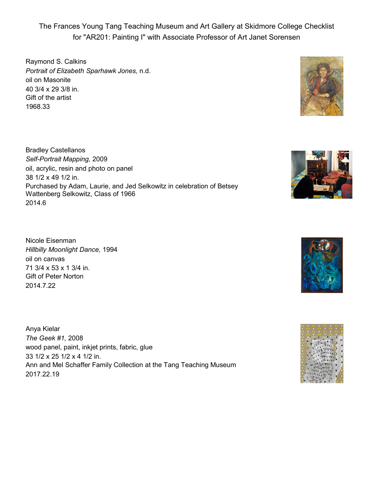The Frances Young Tang Teaching Museum and Art Gallery at Skidmore College Checklist for "AR201: Painting I" with Associate Professor of Art Janet Sorensen

Raymond S. Calkins *Portrait of Elizabeth Sparhawk Jones,* n.d. oil on Masonite 40 3/4 x 29 3/8 in. Gift of the artist 1968.33



Bradley Castellanos *Self-Portrait Mapping,* 2009 oil, acrylic, resin and photo on panel 38 1/2 x 49 1/2 in. Purchased by Adam, Laurie, and Jed Selkowitz in celebration of Betsey Wattenberg Selkowitz, Class of 1966 2014.6

Nicole Eisenman *Hillbilly Moonlight Dance,* 1994 oil on canvas 71 3/4 x 53 x 1 3/4 in. Gift of Peter Norton 2014.7.22

Anya Kielar *The Geek #1,* 2008 wood panel, paint, inkjet prints, fabric, glue 33 1/2 x 25 1/2 x 4 1/2 in. Ann and Mel Schaffer Family Collection at the Tang Teaching Museum 2017.22.19





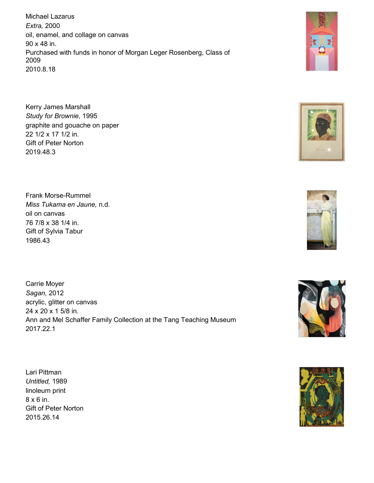Michael Lazarus *Extra,* 2000 oil, enamel, and collage on canvas 90 x 48 in. Purchased with funds in honor of Morgan Leger Rosenberg, Class of 2009 2010.8.18

Kerry James Marshall *Study for Brownie,* 1995 graphite and gouache on paper 22 1/2 x 17 1/2 in. Gift of Peter Norton 2019.48.3

Frank Morse-Rummel *Miss Tukama en Jaune,* n.d. oil on canvas 76 7/8 x 38 1/4 in. Gift of Sylvia Tabur 1986.43

Carrie Moyer *Sagan,* 2012 acrylic, glitter on canvas 24 x 20 x 1 5/8 in. Ann and Mel Schaffer Family Collection at the Tang Teaching Museum 2017.22.1

Lari Pittman *Untitled,* 1989 linoleum print 8 x 6 in. Gift of Peter Norton 2015.26.14